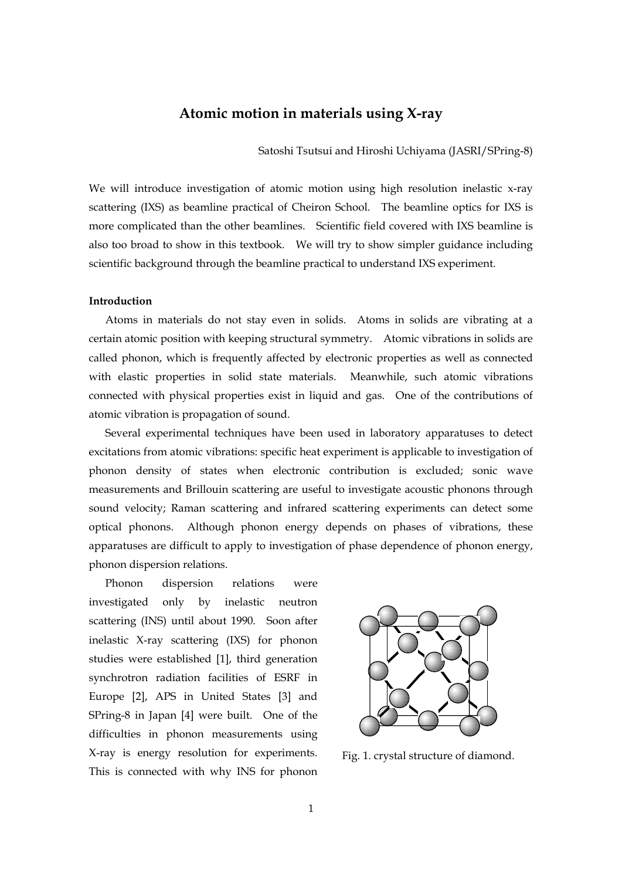# **Atomic motion in materials using X-ray**

Satoshi Tsutsui and Hiroshi Uchiyama (JASRI/SPring-8)

We will introduce investigation of atomic motion using high resolution inelastic x-ray scattering (IXS) as beamline practical of Cheiron School. The beamline optics for IXS is more complicated than the other beamlines. Scientific field covered with IXS beamline is also too broad to show in this textbook. We will try to show simpler guidance including scientific background through the beamline practical to understand IXS experiment.

#### **Introduction**

 Atoms in materials do not stay even in solids. Atoms in solids are vibrating at a certain atomic position with keeping structural symmetry. Atomic vibrations in solids are called phonon, which is frequently affected by electronic properties as well as connected with elastic properties in solid state materials. Meanwhile, such atomic vibrations connected with physical properties exist in liquid and gas. One of the contributions of atomic vibration is propagation of sound.

 Several experimental techniques have been used in laboratory apparatuses to detect excitations from atomic vibrations: specific heat experiment is applicable to investigation of phonon density of states when electronic contribution is excluded; sonic wave measurements and Brillouin scattering are useful to investigate acoustic phonons through sound velocity; Raman scattering and infrared scattering experiments can detect some optical phonons. Although phonon energy depends on phases of vibrations, these apparatuses are difficult to apply to investigation of phase dependence of phonon energy, phonon dispersion relations.

 Phonon dispersion relations were investigated only by inelastic neutron scattering (INS) until about 1990. Soon after inelastic X-ray scattering (IXS) for phonon studies were established [1], third generation synchrotron radiation facilities of ESRF in Europe [2], APS in United States [3] and SPring-8 in Japan [4] were built. One of the difficulties in phonon measurements using X-ray is energy resolution for experiments. This is connected with why INS for phonon



Fig. 1. crystal structure of diamond.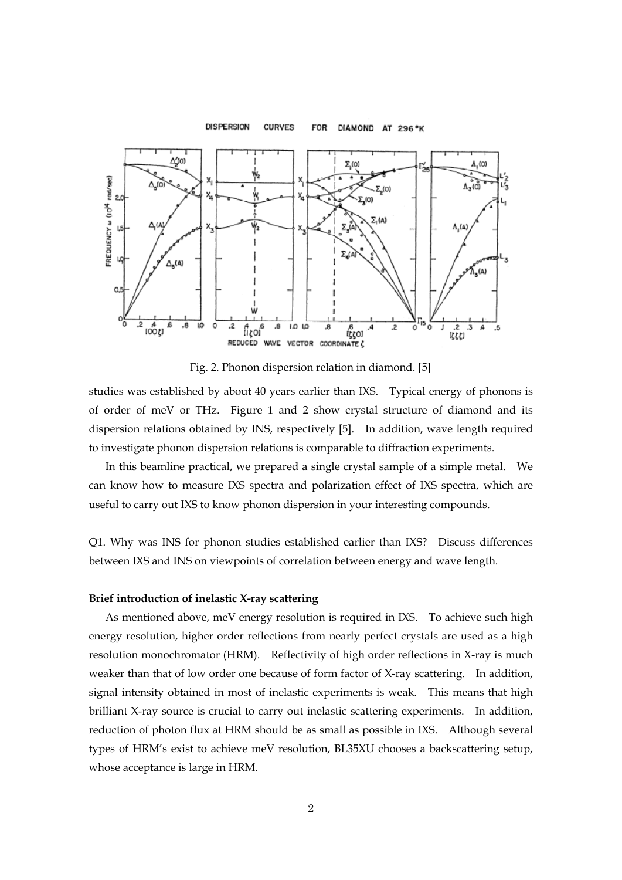#### **DISPERSION CURVES FOR** DIAMOND AT 296°K  $\Delta'$ (0)  $\Sigma_{1}(0)$  $\Lambda_{1}(0)$ rad/sec)  $\Delta$ .(0  $\Lambda_3$ (0)  $2.10$  $\mathfrak{p}$  $\Sigma_{\bullet}$ (O) **REQUENCY w (10<sup>14</sup>**  $\Sigma_1(A)$  $\mathbf{B}$  $\Delta_{\bf s}$ (A) (۵)  $1001$  $\overline{\cdot}$ LO  $\overline{O}$ 1.0  $rac{.2}{\binom{3}{5}}$ រី <sub>រ</sub>ុត្ត LO .6<br>וֹלֶלֶסו  $\overline{c}$ C .3 REDUCED WAVE VECTOR COORDINATE &

Fig. 2. Phonon dispersion relation in diamond. [5]

studies was established by about 40 years earlier than IXS. Typical energy of phonons is of order of meV or THz. Figure 1 and 2 show crystal structure of diamond and its dispersion relations obtained by INS, respectively [5]. In addition, wave length required to investigate phonon dispersion relations is comparable to diffraction experiments.

 In this beamline practical, we prepared a single crystal sample of a simple metal. We can know how to measure IXS spectra and polarization effect of IXS spectra, which are useful to carry out IXS to know phonon dispersion in your interesting compounds.

Q1. Why was INS for phonon studies established earlier than IXS? Discuss differences between IXS and INS on viewpoints of correlation between energy and wave length.

## **Brief introduction of inelastic X-ray scattering**

 As mentioned above, meV energy resolution is required in IXS. To achieve such high energy resolution, higher order reflections from nearly perfect crystals are used as a high resolution monochromator (HRM). Reflectivity of high order reflections in X-ray is much weaker than that of low order one because of form factor of X-ray scattering. In addition, signal intensity obtained in most of inelastic experiments is weak. This means that high brilliant X-ray source is crucial to carry out inelastic scattering experiments. In addition, reduction of photon flux at HRM should be as small as possible in IXS. Although several types of HRM's exist to achieve meV resolution, BL35XU chooses a backscattering setup, whose acceptance is large in HRM.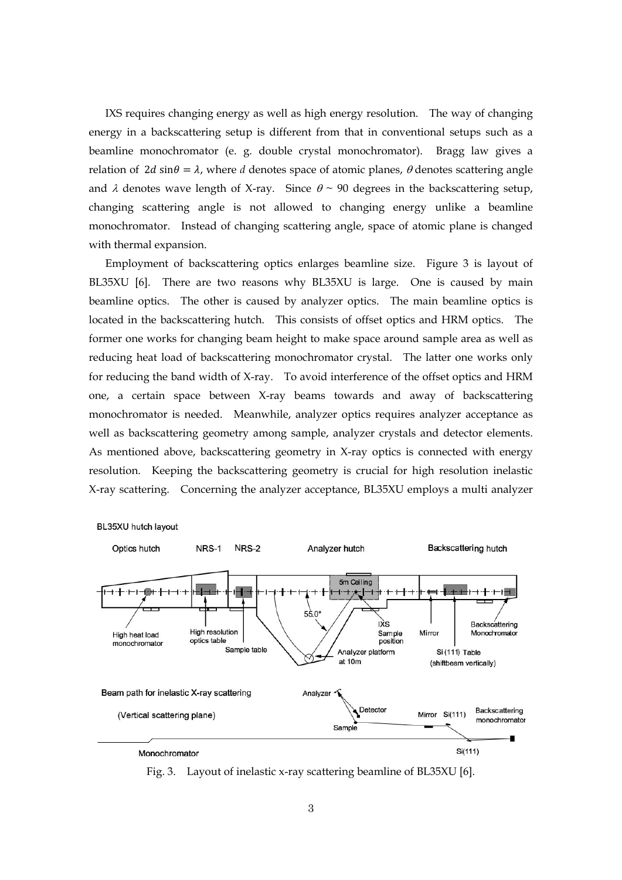IXS requires changing energy as well as high energy resolution. The way of changing energy in a backscattering setup is different from that in conventional setups such as a beamline monochromator (e. g. double crystal monochromator). Bragg law gives a relation of 2*d* sin $\theta = \lambda$ , where *d* denotes space of atomic planes,  $\theta$  denotes scattering angle and  $\lambda$  denotes wave length of X-ray. Since  $\theta \sim 90$  degrees in the backscattering setup, changing scattering angle is not allowed to changing energy unlike a beamline monochromator. Instead of changing scattering angle, space of atomic plane is changed with thermal expansion.

 Employment of backscattering optics enlarges beamline size. Figure 3 is layout of BL35XU [6]. There are two reasons why BL35XU is large. One is caused by main beamline optics. The other is caused by analyzer optics. The main beamline optics is located in the backscattering hutch. This consists of offset optics and HRM optics. The former one works for changing beam height to make space around sample area as well as reducing heat load of backscattering monochromator crystal. The latter one works only for reducing the band width of X-ray. To avoid interference of the offset optics and HRM one, a certain space between X-ray beams towards and away of backscattering monochromator is needed. Meanwhile, analyzer optics requires analyzer acceptance as well as backscattering geometry among sample, analyzer crystals and detector elements. As mentioned above, backscattering geometry in X-ray optics is connected with energy resolution. Keeping the backscattering geometry is crucial for high resolution inelastic X-ray scattering. Concerning the analyzer acceptance, BL35XU employs a multi analyzer



BL35XU hutch layout

Fig. 3. Layout of inelastic x-ray scattering beamline of BL35XU [6].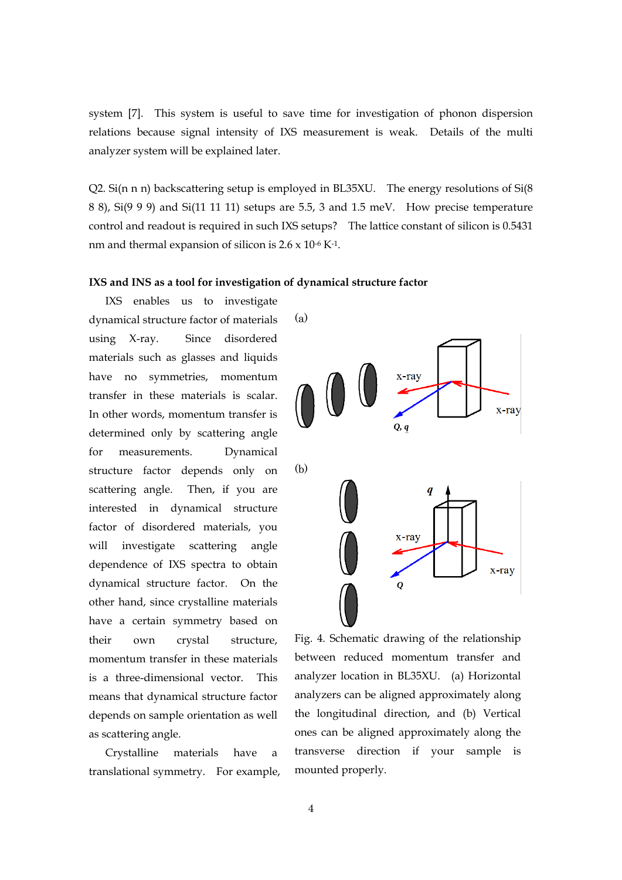system [7]. This system is useful to save time for investigation of phonon dispersion relations because signal intensity of IXS measurement is weak. Details of the multi analyzer system will be explained later.

Q2. Si(n n n) backscattering setup is employed in BL35XU. The energy resolutions of Si(8 8 8), Si(9 9 9) and Si(11 11 11) setups are 5.5, 3 and 1.5 meV. How precise temperature control and readout is required in such IXS setups? The lattice constant of silicon is 0.5431 nm and thermal expansion of silicon is  $2.6 \times 10^{-6}$  K<sup>-1</sup>.

#### **IXS and INS as a tool for investigation of dynamical structure factor**

 IXS enables us to investigate dynamical structure factor of materials using X-ray. Since disordered materials such as glasses and liquids have no symmetries, momentum transfer in these materials is scalar. In other words, momentum transfer is determined only by scattering angle for measurements. Dynamical structure factor depends only on scattering angle. Then, if you are interested in dynamical structure factor of disordered materials, you will investigate scattering angle dependence of IXS spectra to obtain dynamical structure factor. On the other hand, since crystalline materials have a certain symmetry based on their own crystal structure, momentum transfer in these materials is a three-dimensional vector. This means that dynamical structure factor depends on sample orientation as well as scattering angle.

 Crystalline materials have a translational symmetry. For example,



Fig. 4. Schematic drawing of the relationship between reduced momentum transfer and analyzer location in BL35XU. (a) Horizontal analyzers can be aligned approximately along the longitudinal direction, and (b) Vertical ones can be aligned approximately along the transverse direction if your sample is mounted properly.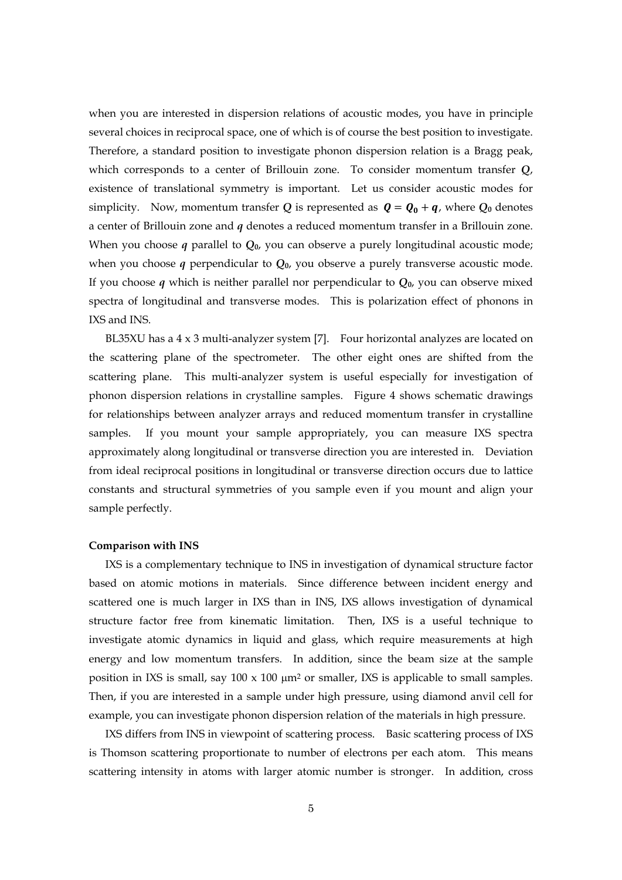when you are interested in dispersion relations of acoustic modes, you have in principle several choices in reciprocal space, one of which is of course the best position to investigate. Therefore, a standard position to investigate phonon dispersion relation is a Bragg peak, which corresponds to a center of Brillouin zone. To consider momentum transfer *Q*, existence of translational symmetry is important. Let us consider acoustic modes for simplicity. Now, momentum transfer Q is represented as  $\mathbf{Q} = \mathbf{Q_0} + \mathbf{q}$ , where  $Q_0$  denotes a center of Brillouin zone and *q* denotes a reduced momentum transfer in a Brillouin zone. When you choose *q* parallel to *Q***0**, you can observe a purely longitudinal acoustic mode; when you choose *q* perpendicular to *Q***0**, you observe a purely transverse acoustic mode. If you choose *q* which is neither parallel nor perpendicular to *Q***0**, you can observe mixed spectra of longitudinal and transverse modes. This is polarization effect of phonons in IXS and INS.

 BL35XU has a 4 x 3 multi-analyzer system [7]. Four horizontal analyzes are located on the scattering plane of the spectrometer. The other eight ones are shifted from the scattering plane. This multi-analyzer system is useful especially for investigation of phonon dispersion relations in crystalline samples. Figure 4 shows schematic drawings for relationships between analyzer arrays and reduced momentum transfer in crystalline samples. If you mount your sample appropriately, you can measure IXS spectra approximately along longitudinal or transverse direction you are interested in. Deviation from ideal reciprocal positions in longitudinal or transverse direction occurs due to lattice constants and structural symmetries of you sample even if you mount and align your sample perfectly.

### **Comparison with INS**

IXS is a complementary technique to INS in investigation of dynamical structure factor based on atomic motions in materials. Since difference between incident energy and scattered one is much larger in IXS than in INS, IXS allows investigation of dynamical structure factor free from kinematic limitation. Then, IXS is a useful technique to investigate atomic dynamics in liquid and glass, which require measurements at high energy and low momentum transfers. In addition, since the beam size at the sample position in IXS is small, say  $100 \times 100 \mu m^2$  or smaller, IXS is applicable to small samples. Then, if you are interested in a sample under high pressure, using diamond anvil cell for example, you can investigate phonon dispersion relation of the materials in high pressure.

IXS differs from INS in viewpoint of scattering process. Basic scattering process of IXS is Thomson scattering proportionate to number of electrons per each atom. This means scattering intensity in atoms with larger atomic number is stronger. In addition, cross